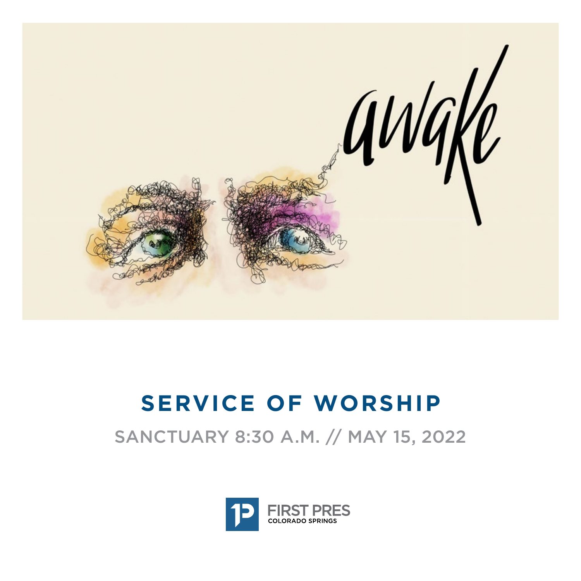

# **SERVICE OF WORSHIP**

SANCTUARY 8:30 A.M. // MAY 15, 2022

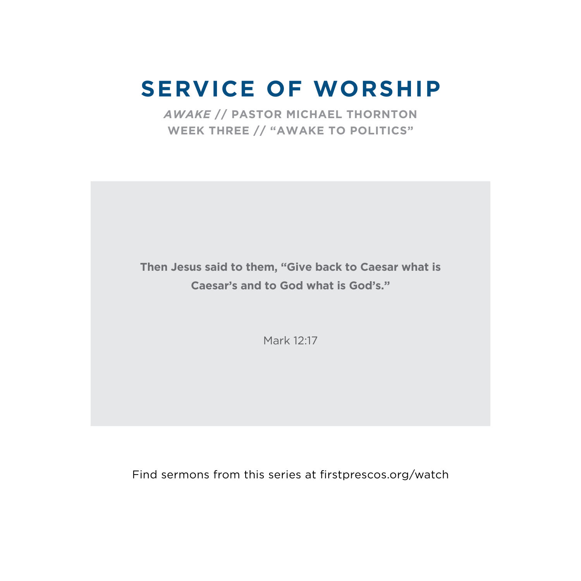# **SERVICE OF WORSHIP**

*AWAKE* **// PASTOR MICHAEL THORNTON WEEK THREE // "AWAKE TO POLITICS"**

**Then Jesus said to them, "Give back to Caesar what is Caesar's and to God what is God's."**

Mark 12:17

Find sermons from this series at firstprescos.org/watch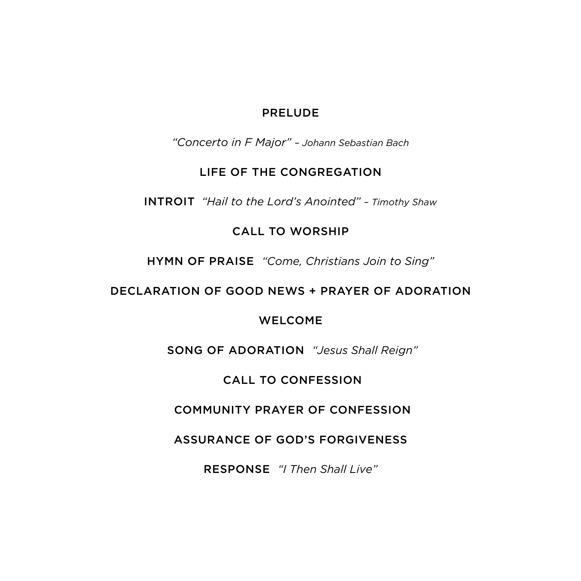#### PRELUDE

*"Concerto in F Major" – Johann Sebastian Bach*

#### LIFE OF THE CONGREGATION

INTROIT *"Hail to the Lord's Anointed" – Timothy Shaw*

### CALL TO WORSHIP

HYMN OF PRAISE *"Come, Christians Join to Sing"*

# DECLARATION OF GOOD NEWS + PRAYER OF ADORATION

## WELCOME

SONG OF ADORATION *"Jesus Shall Reign"* 

# CALL TO CONFESSION

# COMMUNITY PRAYER OF CONFESSION

ASSURANCE OF GOD'S FORGIVENESS

RESPONSE *"I Then Shall Live"*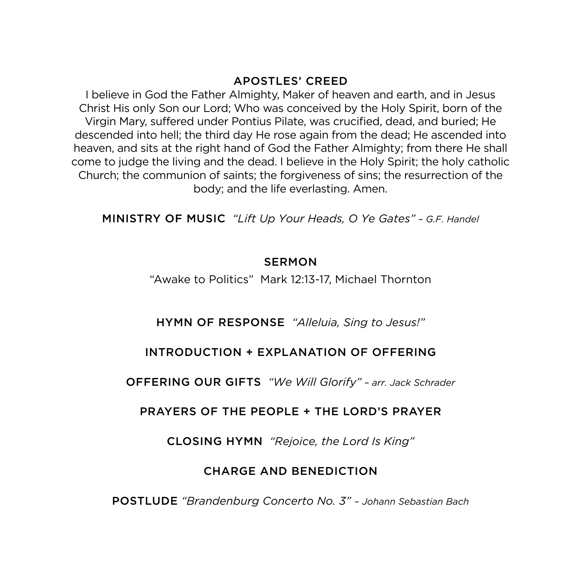#### APOSTLES' CREED

I believe in God the Father Almighty, Maker of heaven and earth, and in Jesus Christ His only Son our Lord; Who was conceived by the Holy Spirit, born of the Virgin Mary, suffered under Pontius Pilate, was crucified, dead, and buried; He descended into hell; the third day He rose again from the dead; He ascended into heaven, and sits at the right hand of God the Father Almighty; from there He shall come to judge the living and the dead. I believe in the Holy Spirit; the holy catholic Church; the communion of saints; the forgiveness of sins; the resurrection of the body; and the life everlasting. Amen.

MINISTRY OF MUSIC *"Lift Up Your Heads, O Ye Gates" – G.F. Handel*

#### **SERMON**

"Awake to Politics" Mark 12:13-17, Michael Thornton

#### HYMN OF RESPONSE *"Alleluia, Sing to Jesus!"*

#### INTRODUCTION + EXPLANATION OF OFFERING

OFFERING OUR GIFTS *"We Will Glorify" – arr. Jack Schrader*

#### PRAYERS OF THE PEOPLE + THE LORD'S PRAYER

CLOSING HYMN *"Rejoice, the Lord Is King"*

## CHARGE AND BENEDICTION

POSTLUDE *"Brandenburg Concerto No. 3" – Johann Sebastian Bach*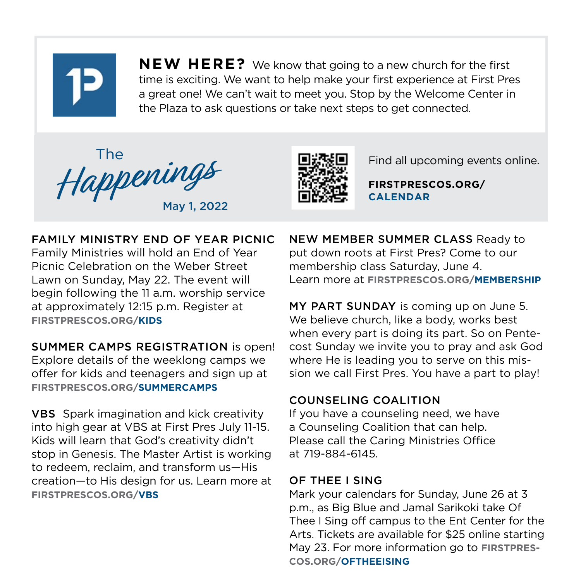

**NEW HERE?** We know that going to a new church for the first time is exciting. We want to help make your first experience at First Pres a great one! We can't wait to meet you. Stop by the Welcome Center in the Plaza to ask questions or take next steps to get connected.





Find all upcoming events online.

**FIRSTPRESCOS.ORG/ CALENDAR**

# FAMILY MINISTRY END OF YEAR PICNIC

Family Ministries will hold an End of Year Picnic Celebration on the Weber Street Lawn on Sunday, May 22. The event will begin following the 11 a.m. worship service at approximately 12:15 p.m. Register at **FIRSTPRESCOS.ORG/KIDS**

SUMMER CAMPS REGISTRATION is open! Explore details of the weeklong camps we offer for kids and teenagers and sign up at **FIRSTPRESCOS.ORG/SUMMERCAMPS**

VBS Spark imagination and kick creativity into high gear at VBS at First Pres July 11-15. Kids will learn that God's creativity didn't stop in Genesis. The Master Artist is working to redeem, reclaim, and transform us—His creation—to His design for us. Learn more at **FIRSTPRESCOS.ORG/VBS**

NEW MEMBER SUMMER CLASS Ready to put down roots at First Pres? Come to our membership class Saturday, June 4. Learn more at **FIRSTPRESCOS.ORG/MEMBERSHIP** 

MY PART SUNDAY is coming up on June 5. We believe church, like a body, works best when every part is doing its part. So on Pentecost Sunday we invite you to pray and ask God where He is leading you to serve on this mission we call First Pres. You have a part to play!

## COUNSELING COALITION

If you have a counseling need, we have a Counseling Coalition that can help. Please call the Caring Ministries Office at 719-884-6145.

## OF THEE I SING

Mark your calendars for Sunday, June 26 at 3 p.m., as Big Blue and Jamal Sarikoki take Of Thee I Sing off campus to the Ent Center for the Arts. Tickets are available for \$25 online starting May 23. For more information go to **FIRSTPRES-COS.ORG/OFTHEEISING**